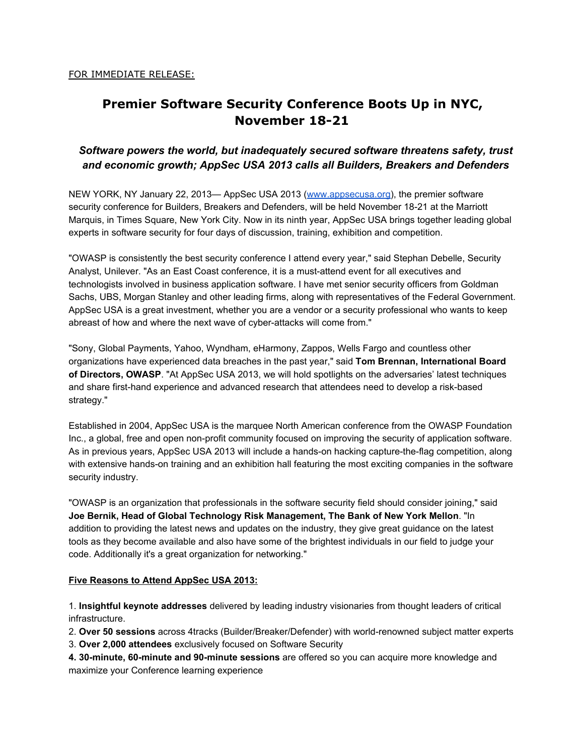# **Premier Software Security Conference Boots Up in NYC, November 18-21**

# *Software powers the world, but inadequately secured software threatens safety, trust and economic growth; AppSec USA 2013 calls all Builders, Breakers and Defenders*

NEW YORK, NY January 22, 2013— AppSec USA 2013 ([www.appsecusa.org\)](http://www.google.com/url?q=http%3A%2F%2Fwww.appsecusa.org&sa=D&sntz=1&usg=AFQjCNHxJThe_LjVY0X2ExP7JkTfiWdK0Q), the premier software security conference for Builders, Breakers and Defenders, will be held November 18-21 at the Marriott Marquis, in Times Square, New York City. Now in its ninth year, AppSec USA brings together leading global experts in software security for four days of discussion, training, exhibition and competition.

"OWASP is consistently the best security conference I attend every year," said Stephan Debelle, Security Analyst, Unilever. "As an East Coast conference, it is a must-attend event for all executives and technologists involved in business application software. I have met senior security officers from Goldman Sachs, UBS, Morgan Stanley and other leading firms, along with representatives of the Federal Government. AppSec USA is a great investment, whether you are a vendor or a security professional who wants to keep abreast of how and where the next wave of cyber-attacks will come from."

"Sony, Global Payments, Yahoo, Wyndham, eHarmony, Zappos, Wells Fargo and countless other organizations have experienced data breaches in the past year," said **Tom Brennan, International Board of Directors, OWASP**. "At AppSec USA 2013, we will hold spotlights on the adversaries' latest techniques and share first-hand experience and advanced research that attendees need to develop a risk-based strategy."

Established in 2004, AppSec USA is the marquee North American conference from the OWASP Foundation Inc., a global, free and open non-profit community focused on improving the security of application software. As in previous years, AppSec USA 2013 will include a hands-on hacking capture-the-flag competition, along with extensive hands-on training and an exhibition hall featuring the most exciting companies in the software security industry.

"OWASP is an organization that professionals in the software security field should consider joining," said **Joe Bernik, Head of Global Technology Risk Management, The Bank of New York Mellon**. "In addition to providing the latest news and updates on the industry, they give great guidance on the latest tools as they become available and also have some of the brightest individuals in our field to judge your code. Additionally it's a great organization for networking."

### **Five Reasons to Attend AppSec USA 2013:**

1. **Insightful keynote addresses** delivered by leading industry visionaries from thought leaders of critical infrastructure.

2. Over 50 sessions across 4tracks (Builder/Breaker/Defender) with world-renowned subject matter experts

3. **Over 2,000 attendees** exclusively focused on Software Security

**4. 30minute, 60minute and 90minute sessions** are offered so you can acquire more knowledge and maximize your Conference learning experience